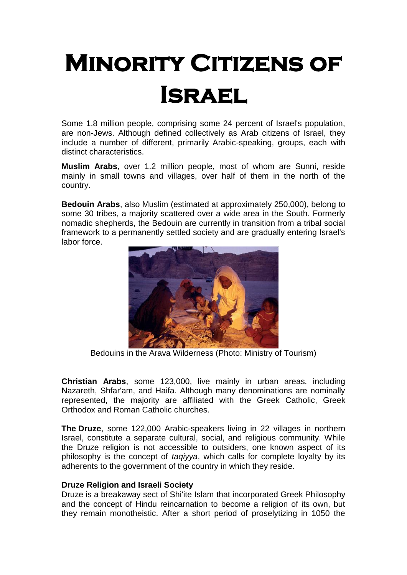## **Minority Citizens of Israel**

Some 1.8 million people, comprising some 24 percent of Israel's population, are non-Jews. Although defined collectively as Arab citizens of Israel, they include a number of different, primarily Arabic-speaking, groups, each with distinct characteristics.

**Muslim Arabs**, over 1.2 million people, most of whom are Sunni, reside mainly in small towns and villages, over half of them in the north of the country.

**Bedouin Arabs**, also Muslim (estimated at approximately 250,000), belong to some 30 tribes, a majority scattered over a wide area in the South. Formerly nomadic shepherds, the Bedouin are currently in transition from a tribal social framework to a permanently settled society and are gradually entering Israel's labor force.



Bedouins in the Arava Wilderness (Photo: Ministry of Tourism)

**Christian Arabs**, some 123,000, live mainly in urban areas, including Nazareth, Shfar'am, and Haifa. Although many denominations are nominally represented, the majority are affiliated with the Greek Catholic, Greek Orthodox and Roman Catholic churches.

**The Druze**, some 122,000 Arabic-speakers living in 22 villages in northern Israel, constitute a separate cultural, social, and religious community. While the Druze religion is not accessible to outsiders, one known aspect of its philosophy is the concept of *taqiyya*, which calls for complete loyalty by its adherents to the government of the country in which they reside.

## **Druze Religion and Israeli Society**

Druze is a breakaway sect of Shi'ite Islam that incorporated Greek Philosophy and the concept of Hindu reincarnation to become a religion of its own, but they remain monotheistic. After a short period of proselytizing in 1050 the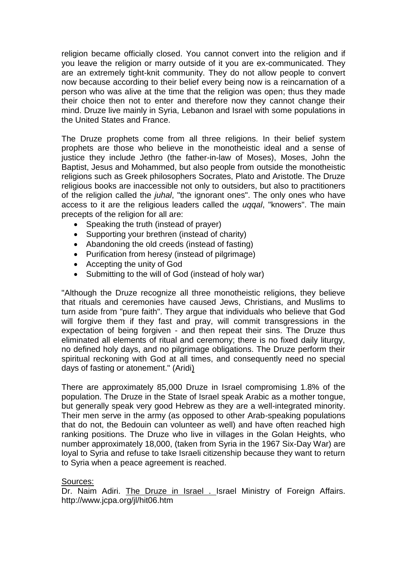religion became officially closed. You cannot convert into the religion and if you leave the religion or marry outside of it you are ex-communicated. They are an extremely tight-knit community. They do not allow people to convert now because according to their belief every being now is a reincarnation of a person who was alive at the time that the religion was open; thus they made their choice then not to enter and therefore now they cannot change their mind. Druze live mainly in Syria, Lebanon and Israel with some populations in the United States and France.

The Druze prophets come from all three religions. In their belief system prophets are those who believe in the monotheistic ideal and a sense of justice they include Jethro (the father-in-law of Moses), Moses, John the Baptist, Jesus and Mohammed, but also people from outside the monotheistic religions such as Greek philosophers Socrates, Plato and Aristotle. The Druze religious books are inaccessible not only to outsiders, but also to practitioners of the religion called the *juhal*, "the ignorant ones". The only ones who have access to it are the religious leaders called the *uqqal*, "knowers". The main precepts of the religion for all are:

- Speaking the truth (instead of prayer)
- Supporting your brethren (instead of charity)
- Abandoning the old creeds (instead of fasting)
- Purification from heresy (instead of pilgrimage)
- Accepting the unity of God
- Submitting to the will of God (instead of holy war)

"Although the Druze recognize all three monotheistic religions, they believe that rituals and ceremonies have caused Jews, Christians, and Muslims to turn aside from "pure faith". They argue that individuals who believe that God will forgive them if they fast and pray, will commit transgressions in the expectation of being forgiven - and then repeat their sins. The Druze thus eliminated all elements of ritual and ceremony; there is no fixed daily liturgy, no defined holy days, and no pilgrimage obligations. The Druze perform their spiritual reckoning with God at all times, and consequently need no special days of fasting or atonement." (Aridi)

There are approximately 85,000 Druze in Israel compromising 1.8% of the population. The Druze in the State of Israel speak Arabic as a mother tongue, but generally speak very good Hebrew as they are a well-integrated minority. Their men serve in the army (as opposed to other Arab-speaking populations that do not, the Bedouin can volunteer as well) and have often reached high ranking positions. The Druze who live in villages in the Golan Heights, who number approximately 18,000, (taken from Syria in the 1967 Six-Day War) are loyal to Syria and refuse to take Israeli citizenship because they want to return to Syria when a peace agreement is reached.

## Sources:

Dr. Naim Adiri. The Druze in Israel . Israel Ministry of Foreign Affairs. http://www.jcpa.org/jl/hit06.htm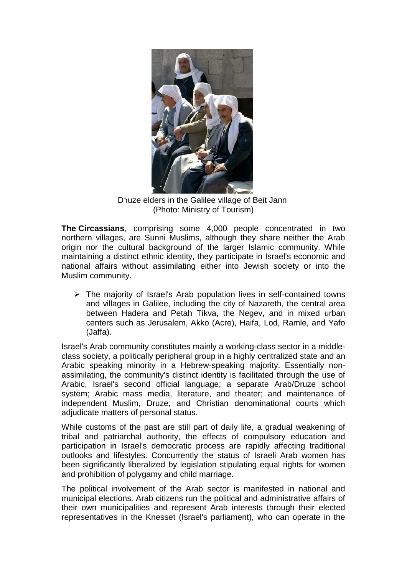

Dרuze elders in the Galilee village of Beit Jann (Photo: Ministry of Tourism)

**The Circassians**, comprising some 4,000 people concentrated in two northern villages, are Sunni Muslims, although they share neither the Arab origin nor the cultural background of the larger Islamic community. While maintaining a distinct ethnic identity, they participate in Israel's economic and national affairs without assimilating either into Jewish society or into the Muslim community.

 $\triangleright$  The majority of Israel's Arab population lives in self-contained towns and villages in Galilee, including the city of Nazareth, the central area between Hadera and Petah Tikva, the Negev, and in mixed urban centers such as Jerusalem, Akko (Acre), Haifa, Lod, Ramle, and Yafo (Jaffa).

Israel's Arab community constitutes mainly a working-class sector in a middleclass society, a politically peripheral group in a highly centralized state and an Arabic speaking minority in a Hebrew-speaking majority. Essentially nonassimilating, the community's distinct identity is facilitated through the use of Arabic, Israel's second official language; a separate Arab/Druze school system; Arabic mass media, literature, and theater; and maintenance of independent Muslim, Druze, and Christian denominational courts which adjudicate matters of personal status.

While customs of the past are still part of daily life, a gradual weakening of tribal and patriarchal authority, the effects of compulsory education and participation in Israel's democratic process are rapidly affecting traditional outlooks and lifestyles. Concurrently the status of Israeli Arab women has been significantly liberalized by legislation stipulating equal rights for women and prohibition of polygamy and child marriage.

The political involvement of the Arab sector is manifested in national and municipal elections. Arab citizens run the political and administrative affairs of their own municipalities and represent Arab interests through their elected representatives in the Knesset (Israel's parliament), who can operate in the